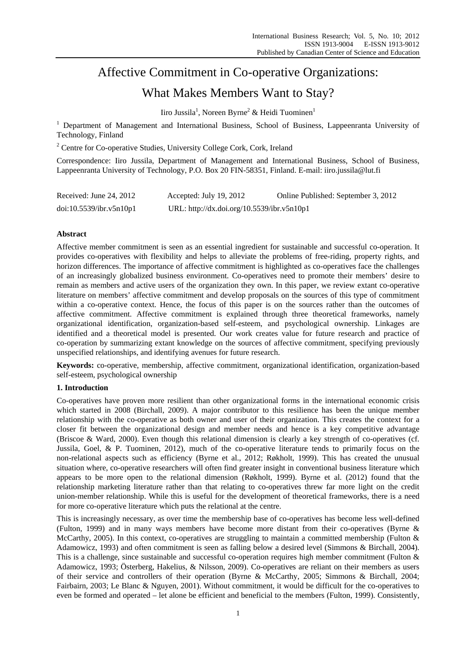# Affective Commitment in Co-operative Organizations:

# What Makes Members Want to Stay?

Iiro Jussila<sup>1</sup>, Noreen Byrne<sup>2</sup> & Heidi Tuominen<sup>1</sup>

<sup>1</sup> Department of Management and International Business, School of Business, Lappeenranta University of Technology, Finland

<sup>2</sup> Centre for Co-operative Studies, University College Cork, Cork, Ireland

Correspondence: Iiro Jussila, Department of Management and International Business, School of Business, Lappeenranta University of Technology, P.O. Box 20 FIN-58351, Finland. E-mail: iiro.jussila@lut.fi

| Received: June 24, $2012$ | Accepted: July 19, 2012                    | Online Published: September 3, 2012 |
|---------------------------|--------------------------------------------|-------------------------------------|
| doi:10.5539/ibr.v5n10p1   | URL: http://dx.doi.org/10.5539/ibr.v5n10p1 |                                     |

# **Abstract**

Affective member commitment is seen as an essential ingredient for sustainable and successful co-operation. It provides co-operatives with flexibility and helps to alleviate the problems of free-riding, property rights, and horizon differences. The importance of affective commitment is highlighted as co-operatives face the challenges of an increasingly globalized business environment. Co-operatives need to promote their members' desire to remain as members and active users of the organization they own. In this paper, we review extant co-operative literature on members' affective commitment and develop proposals on the sources of this type of commitment within a co-operative context. Hence, the focus of this paper is on the sources rather than the outcomes of affective commitment. Affective commitment is explained through three theoretical frameworks, namely organizational identification, organization-based self-esteem, and psychological ownership. Linkages are identified and a theoretical model is presented. Our work creates value for future research and practice of co-operation by summarizing extant knowledge on the sources of affective commitment, specifying previously unspecified relationships, and identifying avenues for future research.

**Keywords:** co-operative, membership, affective commitment, organizational identification, organization-based self-esteem, psychological ownership

# **1. Introduction**

Co-operatives have proven more resilient than other organizational forms in the international economic crisis which started in 2008 (Birchall, 2009). A major contributor to this resilience has been the unique member relationship with the co-operative as both owner and user of their organization. This creates the context for a closer fit between the organizational design and member needs and hence is a key competitive advantage (Briscoe & Ward, 2000). Even though this relational dimension is clearly a key strength of co-operatives (cf. Jussila, Goel, & P. Tuominen, 2012), much of the co-operative literature tends to primarily focus on the non-relational aspects such as efficiency (Byrne et al., 2012; Røkholt, 1999). This has created the unusual situation where, co-operative researchers will often find greater insight in conventional business literature which appears to be more open to the relational dimension (Røkholt, 1999). Byrne et al. (2012) found that the relationship marketing literature rather than that relating to co-operatives threw far more light on the credit union-member relationship. While this is useful for the development of theoretical frameworks, there is a need for more co-operative literature which puts the relational at the centre.

This is increasingly necessary, as over time the membership base of co-operatives has become less well-defined (Fulton, 1999) and in many ways members have become more distant from their co-operatives (Byrne & McCarthy, 2005). In this context, co-operatives are struggling to maintain a committed membership (Fulton & Adamowicz, 1993) and often commitment is seen as falling below a desired level (Simmons & Birchall, 2004). This is a challenge, since sustainable and successful co-operation requires high member commitment (Fulton & Adamowicz, 1993; Österberg, Hakelius, & Nilsson, 2009). Co-operatives are reliant on their members as users of their service and controllers of their operation (Byrne & McCarthy, 2005; Simmons & Birchall, 2004; Fairbairn, 2003; Le Blanc & Nguyen, 2001). Without commitment, it would be difficult for the co-operatives to even be formed and operated – let alone be efficient and beneficial to the members (Fulton, 1999). Consistently,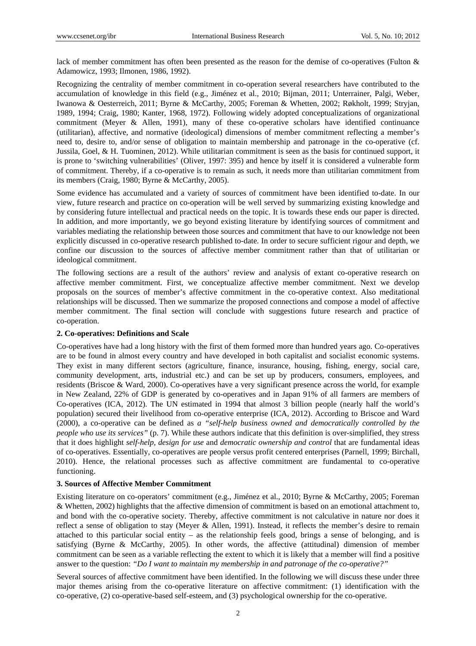lack of member commitment has often been presented as the reason for the demise of co-operatives (Fulton & Adamowicz, 1993; Ilmonen, 1986, 1992).

Recognizing the centrality of member commitment in co-operation several researchers have contributed to the accumulation of knowledge in this field (e.g., Jiménez et al., 2010; Bijman, 2011; Unterrainer, Palgi, Weber, Iwanowa & Oesterreich, 2011; Byrne & McCarthy, 2005; Foreman & Whetten, 2002; Røkholt, 1999; Stryjan, 1989, 1994; Craig, 1980; Kanter, 1968, 1972). Following widely adopted conceptualizations of organizational commitment (Meyer & Allen, 1991), many of these co-operative scholars have identified continuance (utilitarian), affective, and normative (ideological) dimensions of member commitment reflecting a member's need to, desire to, and/or sense of obligation to maintain membership and patronage in the co-operative (cf. Jussila, Goel, & H. Tuominen, 2012). While utilitarian commitment is seen as the basis for continued support, it is prone to 'switching vulnerabilities' (Oliver, 1997: 395) and hence by itself it is considered a vulnerable form of commitment. Thereby, if a co-operative is to remain as such, it needs more than utilitarian commitment from its members (Craig, 1980; Byrne & McCarthy, 2005).

Some evidence has accumulated and a variety of sources of commitment have been identified to-date. In our view, future research and practice on co-operation will be well served by summarizing existing knowledge and by considering future intellectual and practical needs on the topic. It is towards these ends our paper is directed. In addition, and more importantly, we go beyond existing literature by identifying sources of commitment and variables mediating the relationship between those sources and commitment that have to our knowledge not been explicitly discussed in co-operative research published to-date. In order to secure sufficient rigour and depth, we confine our discussion to the sources of affective member commitment rather than that of utilitarian or ideological commitment.

The following sections are a result of the authors' review and analysis of extant co-operative research on affective member commitment. First, we conceptualize affective member commitment. Next we develop proposals on the sources of member's affective commitment in the co-operative context. Also meditational relationships will be discussed. Then we summarize the proposed connections and compose a model of affective member commitment. The final section will conclude with suggestions future research and practice of co-operation.

### **2. Co-operatives: Definitions and Scale**

Co-operatives have had a long history with the first of them formed more than hundred years ago. Co-operatives are to be found in almost every country and have developed in both capitalist and socialist economic systems. They exist in many different sectors (agriculture, finance, insurance, housing, fishing, energy, social care, community development, arts, industrial etc.) and can be set up by producers, consumers, employees, and residents (Briscoe & Ward, 2000). Co-operatives have a very significant presence across the world, for example in New Zealand, 22% of GDP is generated by co-operatives and in Japan 91% of all farmers are members of Co-operatives (ICA, 2012). The UN estimated in 1994 that almost 3 billion people (nearly half the world's population) secured their livelihood from co-operative enterprise (ICA, 2012). According to Briscoe and Ward (2000), a co-operative can be defined as *a "self-help business owned and democratically controlled by the people who use its services"* (p. 7). While these authors indicate that this definition is over-simplified, they stress that it does highlight *self-help, design for use* and *democratic ownership and control* that are fundamental ideas of co-operatives. Essentially, co-operatives are people versus profit centered enterprises (Parnell, 1999; Birchall, 2010). Hence, the relational processes such as affective commitment are fundamental to co-operative functioning.

#### **3. Sources of Affective Member Commitment**

Existing literature on co-operators' commitment (e.g., Jiménez et al., 2010; Byrne & McCarthy, 2005; Foreman & Whetten, 2002) highlights that the affective dimension of commitment is based on an emotional attachment to, and bond with the co-operative society. Thereby, affective commitment is not calculative in nature nor does it reflect a sense of obligation to stay (Meyer & Allen, 1991). Instead, it reflects the member's desire to remain attached to this particular social entity – as the relationship feels good, brings a sense of belonging, and is satisfying (Byrne & McCarthy, 2005). In other words, the affective (attitudinal) dimension of member commitment can be seen as a variable reflecting the extent to which it is likely that a member will find a positive answer to the question: *"Do I want to maintain my membership in and patronage of the co-operative?"*

Several sources of affective commitment have been identified. In the following we will discuss these under three major themes arising from the co-operative literature on affective commitment: (1) identification with the co-operative, (2) co-operative-based self-esteem, and (3) psychological ownership for the co-operative.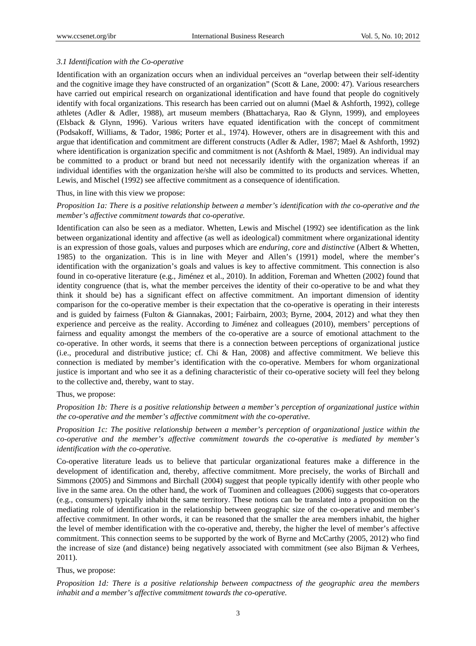## *3.1 Identification with the Co-operative*

Identification with an organization occurs when an individual perceives an "overlap between their self-identity and the cognitive image they have constructed of an organization" (Scott & Lane, 2000: 47). Various researchers have carried out empirical research on organizational identification and have found that people do cognitively identify with focal organizations. This research has been carried out on alumni (Mael & Ashforth, 1992), college athletes (Adler & Adler, 1988), art museum members (Bhattacharya, Rao & Glynn, 1999), and employees (Elsback & Glynn, 1996). Various writers have equated identification with the concept of commitment (Podsakoff, Williams, & Tador, 1986; Porter et al., 1974). However, others are in disagreement with this and argue that identification and commitment are different constructs (Adler & Adler, 1987; Mael & Ashforth, 1992) where identification is organization specific and commitment is not (Ashforth & Mael, 1989). An individual may be committed to a product or brand but need not necessarily identify with the organization whereas if an individual identifies with the organization he/she will also be committed to its products and services. Whetten, Lewis, and Mischel (1992) see affective commitment as a consequence of identification.

#### Thus, in line with this view we propose:

*Proposition 1a: There is a positive relationship between a member's identification with the co-operative and the member's affective commitment towards that co-operative.* 

Identification can also be seen as a mediator. Whetten, Lewis and Mischel (1992) see identification as the link between organizational identity and affective (as well as ideological) commitment where organizational identity is an expression of those goals, values and purposes which are *enduring, core* and *distinctive* (Albert & Whetten, 1985) to the organization. This is in line with Meyer and Allen's (1991) model, where the member's identification with the organization's goals and values is key to affective commitment. This connection is also found in co-operative literature (e.g., Jiménez et al., 2010). In addition, Foreman and Whetten (2002) found that identity congruence (that is, what the member perceives the identity of their co-operative to be and what they think it should be) has a significant effect on affective commitment. An important dimension of identity comparison for the co-operative member is their expectation that the co-operative is operating in their interests and is guided by fairness (Fulton & Giannakas, 2001; Fairbairn, 2003; Byrne, 2004, 2012) and what they then experience and perceive as the reality. According to Jiménez and colleagues (2010), members' perceptions of fairness and equality amongst the members of the co-operative are a source of emotional attachment to the co-operative. In other words, it seems that there is a connection between perceptions of organizational justice (i.e., procedural and distributive justice; cf. Chi & Han, 2008) and affective commitment. We believe this connection is mediated by member's identification with the co-operative. Members for whom organizational justice is important and who see it as a defining characteristic of their co-operative society will feel they belong to the collective and, thereby, want to stay.

#### Thus, we propose:

*Proposition 1b: There is a positive relationship between a member's perception of organizational justice within the co-operative and the member's affective commitment with the co-operative.* 

*Proposition 1c: The positive relationship between a member's perception of organizational justice within the co-operative and the member's affective commitment towards the co-operative is mediated by member's identification with the co-operative.* 

Co-operative literature leads us to believe that particular organizational features make a difference in the development of identification and, thereby, affective commitment. More precisely, the works of Birchall and Simmons (2005) and Simmons and Birchall (2004) suggest that people typically identify with other people who live in the same area. On the other hand, the work of Tuominen and colleagues (2006) suggests that co-operators (e.g., consumers) typically inhabit the same territory. These notions can be translated into a proposition on the mediating role of identification in the relationship between geographic size of the co-operative and member's affective commitment. In other words, it can be reasoned that the smaller the area members inhabit, the higher the level of member identification with the co-operative and, thereby, the higher the level of member's affective commitment. This connection seems to be supported by the work of Byrne and McCarthy (2005, 2012) who find the increase of size (and distance) being negatively associated with commitment (see also Bijman & Verhees, 2011).

#### Thus, we propose:

*Proposition 1d: There is a positive relationship between compactness of the geographic area the members inhabit and a member's affective commitment towards the co-operative.*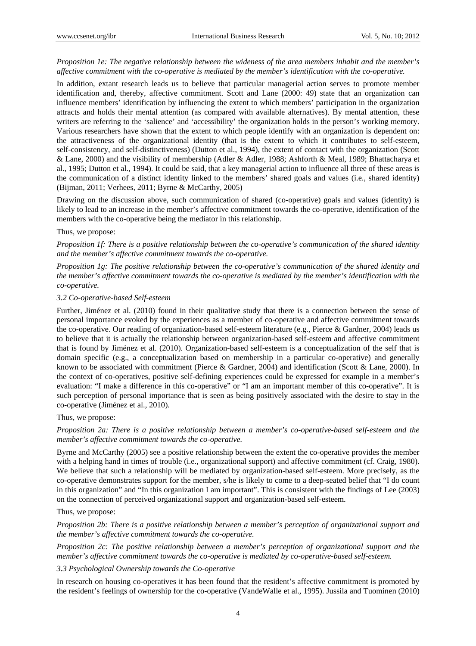# *Proposition 1e: The negative relationship between the wideness of the area members inhabit and the member's affective commitment with the co-operative is mediated by the member's identification with the co-operative.*

In addition, extant research leads us to believe that particular managerial action serves to promote member identification and, thereby, affective commitment. Scott and Lane (2000: 49) state that an organization can influence members' identification by influencing the extent to which members' participation in the organization attracts and holds their mental attention (as compared with available alternatives). By mental attention, these writers are referring to the 'salience' and 'accessibility' the organization holds in the person's working memory. Various researchers have shown that the extent to which people identify with an organization is dependent on: the attractiveness of the organizational identity (that is the extent to which it contributes to self-esteem, self-consistency, and self-distinctiveness) (Dutton et al., 1994), the extent of contact with the organization (Scott & Lane, 2000) and the visibility of membership (Adler & Adler, 1988; Ashforth & Meal, 1989; Bhattacharya et al., 1995; Dutton et al., 1994). It could be said, that a key managerial action to influence all three of these areas is the communication of a distinct identity linked to the members' shared goals and values (i.e., shared identity) (Bijman, 2011; Verhees, 2011; Byrne & McCarthy, 2005)

Drawing on the discussion above, such communication of shared (co-operative) goals and values (identity) is likely to lead to an increase in the member's affective commitment towards the co-operative, identification of the members with the co-operative being the mediator in this relationship.

## Thus, we propose:

*Proposition 1f: There is a positive relationship between the co-operative's communication of the shared identity and the member's affective commitment towards the co-operative.* 

*Proposition 1g: The positive relationship between the co-operative's communication of the shared identity and the member's affective commitment towards the co-operative is mediated by the member's identification with the co-operative.* 

# *3.2 Co-operative-based Self-esteem*

Further, Jiménez et al. (2010) found in their qualitative study that there is a connection between the sense of personal importance evoked by the experiences as a member of co-operative and affective commitment towards the co-operative. Our reading of organization-based self-esteem literature (e.g., Pierce & Gardner, 2004) leads us to believe that it is actually the relationship between organization-based self-esteem and affective commitment that is found by Jiménez et al. (2010). Organization-based self-esteem is a conceptualization of the self that is domain specific (e.g., a conceptualization based on membership in a particular co-operative) and generally known to be associated with commitment (Pierce & Gardner, 2004) and identification (Scott & Lane, 2000). In the context of co-operatives, positive self-defining experiences could be expressed for example in a member's evaluation: "I make a difference in this co-operative" or "I am an important member of this co-operative". It is such perception of personal importance that is seen as being positively associated with the desire to stay in the co-operative (Jiménez et al., 2010).

# Thus, we propose:

*Proposition 2a: There is a positive relationship between a member's co-operative-based self-esteem and the member's affective commitment towards the co-operative.* 

Byrne and McCarthy (2005) see a positive relationship between the extent the co-operative provides the member with a helping hand in times of trouble (i.e., organizational support) and affective commitment (cf. Craig, 1980). We believe that such a relationship will be mediated by organization-based self-esteem. More precisely, as the co-operative demonstrates support for the member, s/he is likely to come to a deep-seated belief that "I do count in this organization" and "In this organization I am important". This is consistent with the findings of Lee (2003) on the connection of perceived organizational support and organization-based self-esteem.

# Thus, we propose:

*Proposition 2b: There is a positive relationship between a member's perception of organizational support and the member's affective commitment towards the co-operative.* 

*Proposition 2c: The positive relationship between a member's perception of organizational support and the member's affective commitment towards the co-operative is mediated by co-operative-based self-esteem.* 

## *3.3 Psychological Ownership towards the Co-operative*

In research on housing co-operatives it has been found that the resident's affective commitment is promoted by the resident's feelings of ownership for the co-operative (VandeWalle et al., 1995). Jussila and Tuominen (2010)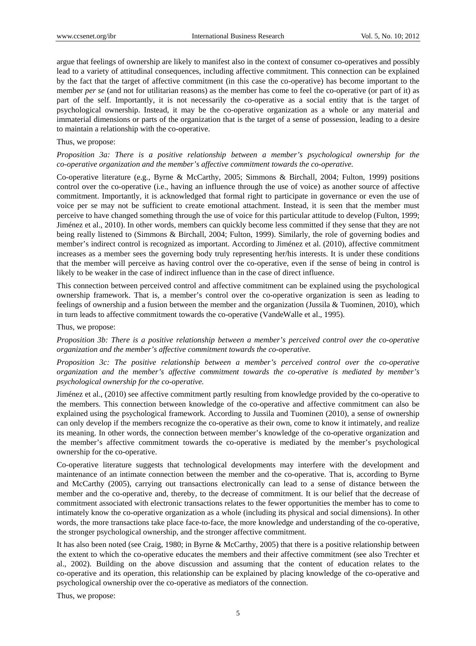argue that feelings of ownership are likely to manifest also in the context of consumer co-operatives and possibly lead to a variety of attitudinal consequences, including affective commitment. This connection can be explained by the fact that the target of affective commitment (in this case the co-operative) has become important to the member *per se* (and not for utilitarian reasons) as the member has come to feel the co-operative (or part of it) as part of the self. Importantly, it is not necessarily the co-operative as a social entity that is the target of psychological ownership. Instead, it may be the co-operative organization as a whole or any material and immaterial dimensions or parts of the organization that is the target of a sense of possession, leading to a desire to maintain a relationship with the co-operative.

## Thus, we propose:

# *Proposition 3a: There is a positive relationship between a member's psychological ownership for the co-operative organization and the member's affective commitment towards the co-operative.*

Co-operative literature (e.g., Byrne & McCarthy, 2005; Simmons & Birchall, 2004; Fulton, 1999) positions control over the co-operative (i.e., having an influence through the use of voice) as another source of affective commitment. Importantly, it is acknowledged that formal right to participate in governance or even the use of voice per se may not be sufficient to create emotional attachment. Instead, it is seen that the member must perceive to have changed something through the use of voice for this particular attitude to develop (Fulton, 1999; Jiménez et al., 2010). In other words, members can quickly become less committed if they sense that they are not being really listened to (Simmons & Birchall, 2004; Fulton, 1999). Similarly, the role of governing bodies and member's indirect control is recognized as important. According to Jiménez et al. (2010), affective commitment increases as a member sees the governing body truly representing her/his interests. It is under these conditions that the member will perceive as having control over the co-operative, even if the sense of being in control is likely to be weaker in the case of indirect influence than in the case of direct influence.

This connection between perceived control and affective commitment can be explained using the psychological ownership framework. That is, a member's control over the co-operative organization is seen as leading to feelings of ownership and a fusion between the member and the organization (Jussila & Tuominen, 2010), which in turn leads to affective commitment towards the co-operative (VandeWalle et al., 1995).

### Thus, we propose:

*Proposition 3b: There is a positive relationship between a member's perceived control over the co-operative organization and the member's affective commitment towards the co-operative.* 

*Proposition 3c: The positive relationship between a member's perceived control over the co-operative organization and the member's affective commitment towards the co-operative is mediated by member's psychological ownership for the co-operative.* 

Jiménez et al., (2010) see affective commitment partly resulting from knowledge provided by the co-operative to the members. This connection between knowledge of the co-operative and affective commitment can also be explained using the psychological framework. According to Jussila and Tuominen (2010), a sense of ownership can only develop if the members recognize the co-operative as their own, come to know it intimately, and realize its meaning. In other words, the connection between member's knowledge of the co-operative organization and the member's affective commitment towards the co-operative is mediated by the member's psychological ownership for the co-operative.

Co-operative literature suggests that technological developments may interfere with the development and maintenance of an intimate connection between the member and the co-operative. That is, according to Byrne and McCarthy (2005), carrying out transactions electronically can lead to a sense of distance between the member and the co-operative and, thereby, to the decrease of commitment. It is our belief that the decrease of commitment associated with electronic transactions relates to the fewer opportunities the member has to come to intimately know the co-operative organization as a whole (including its physical and social dimensions). In other words, the more transactions take place face-to-face, the more knowledge and understanding of the co-operative, the stronger psychological ownership, and the stronger affective commitment.

It has also been noted (see Craig, 1980; in Byrne & McCarthy, 2005) that there is a positive relationship between the extent to which the co-operative educates the members and their affective commitment (see also Trechter et al., 2002). Building on the above discussion and assuming that the content of education relates to the co-operative and its operation, this relationship can be explained by placing knowledge of the co-operative and psychological ownership over the co-operative as mediators of the connection.

Thus, we propose: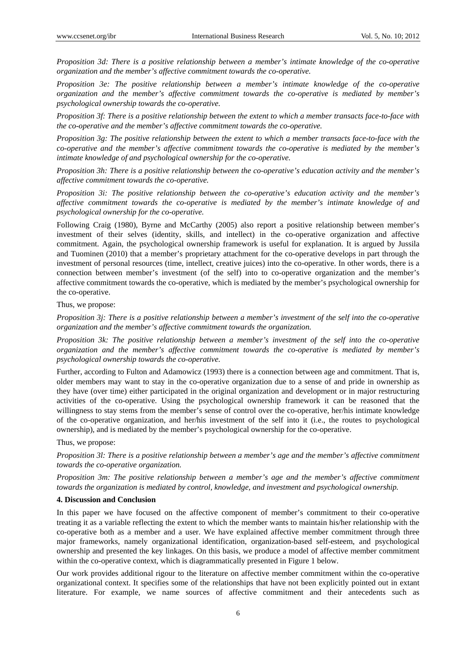*Proposition 3d: There is a positive relationship between a member's intimate knowledge of the co-operative organization and the member's affective commitment towards the co-operative.* 

*Proposition 3e: The positive relationship between a member's intimate knowledge of the co-operative organization and the member's affective commitment towards the co-operative is mediated by member's psychological ownership towards the co-operative.* 

*Proposition 3f: There is a positive relationship between the extent to which a member transacts face-to-face with the co-operative and the member's affective commitment towards the co-operative.* 

*Proposition 3g: The positive relationship between the extent to which a member transacts face-to-face with the co-operative and the member's affective commitment towards the co-operative is mediated by the member's intimate knowledge of and psychological ownership for the co-operative.* 

*Proposition 3h: There is a positive relationship between the co-operative's education activity and the member's affective commitment towards the co-operative.* 

*Proposition 3i: The positive relationship between the co-operative's education activity and the member's affective commitment towards the co-operative is mediated by the member's intimate knowledge of and psychological ownership for the co-operative.* 

Following Craig (1980), Byrne and McCarthy (2005) also report a positive relationship between member's investment of their selves (identity, skills, and intellect) in the co-operative organization and affective commitment. Again, the psychological ownership framework is useful for explanation. It is argued by Jussila and Tuominen (2010) that a member's proprietary attachment for the co-operative develops in part through the investment of personal resources (time, intellect, creative juices) into the co-operative. In other words, there is a connection between member's investment (of the self) into to co-operative organization and the member's affective commitment towards the co-operative, which is mediated by the member's psychological ownership for the co-operative.

Thus, we propose:

*Proposition 3j: There is a positive relationship between a member's investment of the self into the co-operative organization and the member's affective commitment towards the organization.* 

*Proposition 3k: The positive relationship between a member's investment of the self into the co-operative organization and the member's affective commitment towards the co-operative is mediated by member's psychological ownership towards the co-operative.* 

Further, according to Fulton and Adamowicz (1993) there is a connection between age and commitment. That is, older members may want to stay in the co-operative organization due to a sense of and pride in ownership as they have (over time) either participated in the original organization and development or in major restructuring activities of the co-operative. Using the psychological ownership framework it can be reasoned that the willingness to stay stems from the member's sense of control over the co-operative, her/his intimate knowledge of the co-operative organization, and her/his investment of the self into it (i.e., the routes to psychological ownership), and is mediated by the member's psychological ownership for the co-operative.

Thus, we propose:

*Proposition 3l: There is a positive relationship between a member's age and the member's affective commitment towards the co-operative organization.* 

*Proposition 3m: The positive relationship between a member's age and the member's affective commitment towards the organization is mediated by control, knowledge, and investment and psychological ownership.* 

# **4. Discussion and Conclusion**

In this paper we have focused on the affective component of member's commitment to their co-operative treating it as a variable reflecting the extent to which the member wants to maintain his/her relationship with the co-operative both as a member and a user. We have explained affective member commitment through three major frameworks, namely organizational identification, organization-based self-esteem, and psychological ownership and presented the key linkages. On this basis, we produce a model of affective member commitment within the co-operative context, which is diagrammatically presented in Figure 1 below.

Our work provides additional rigour to the literature on affective member commitment within the co-operative organizational context. It specifies some of the relationships that have not been explicitly pointed out in extant literature. For example, we name sources of affective commitment and their antecedents such as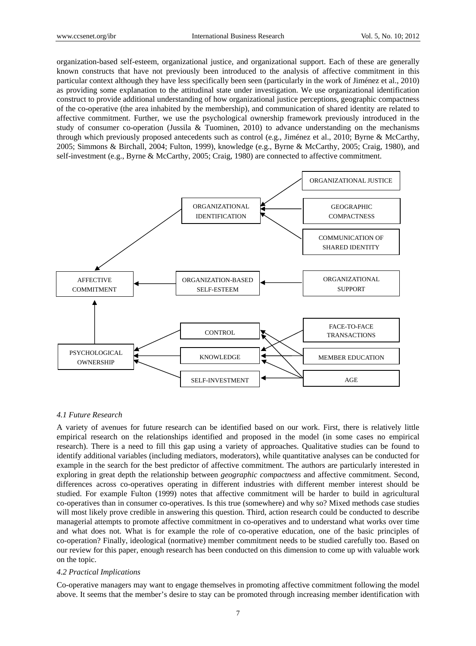organization-based self-esteem, organizational justice, and organizational support. Each of these are generally known constructs that have not previously been introduced to the analysis of affective commitment in this particular context although they have less specifically been seen (particularly in the work of Jiménez et al., 2010) as providing some explanation to the attitudinal state under investigation. We use organizational identification construct to provide additional understanding of how organizational justice perceptions, geographic compactness of the co-operative (the area inhabited by the membership), and communication of shared identity are related to affective commitment. Further, we use the psychological ownership framework previously introduced in the study of consumer co-operation (Jussila & Tuominen, 2010) to advance understanding on the mechanisms through which previously proposed antecedents such as control (e.g., Jiménez et al., 2010; Byrne & McCarthy, 2005; Simmons & Birchall, 2004; Fulton, 1999), knowledge (e.g., Byrne & McCarthy, 2005; Craig, 1980), and self-investment (e.g., Byrne & McCarthy, 2005; Craig, 1980) are connected to affective commitment.



#### *4.1 Future Research*

A variety of avenues for future research can be identified based on our work. First, there is relatively little empirical research on the relationships identified and proposed in the model (in some cases no empirical research). There is a need to fill this gap using a variety of approaches. Qualitative studies can be found to identify additional variables (including mediators, moderators), while quantitative analyses can be conducted for example in the search for the best predictor of affective commitment. The authors are particularly interested in exploring in great depth the relationship between *geographic compactness* and affective commitment. Second, differences across co-operatives operating in different industries with different member interest should be studied. For example Fulton (1999) notes that affective commitment will be harder to build in agricultural co-operatives than in consumer co-operatives. Is this true (somewhere) and why so? Mixed methods case studies will most likely prove credible in answering this question. Third, action research could be conducted to describe managerial attempts to promote affective commitment in co-operatives and to understand what works over time and what does not. What is for example the role of co-operative education, one of the basic principles of co-operation? Finally, ideological (normative) member commitment needs to be studied carefully too. Based on our review for this paper, enough research has been conducted on this dimension to come up with valuable work on the topic.

#### *4.2 Practical Implications*

Co-operative managers may want to engage themselves in promoting affective commitment following the model above. It seems that the member's desire to stay can be promoted through increasing member identification with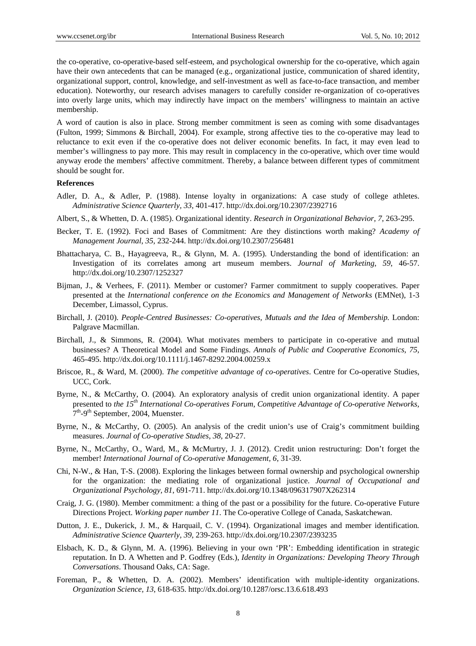the co-operative, co-operative-based self-esteem, and psychological ownership for the co-operative, which again have their own antecedents that can be managed (e.g., organizational justice, communication of shared identity, organizational support, control, knowledge, and self-investment as well as face-to-face transaction, and member education). Noteworthy, our research advises managers to carefully consider re-organization of co-operatives into overly large units, which may indirectly have impact on the members' willingness to maintain an active membership.

A word of caution is also in place. Strong member commitment is seen as coming with some disadvantages (Fulton, 1999; Simmons & Birchall, 2004). For example, strong affective ties to the co-operative may lead to reluctance to exit even if the co-operative does not deliver economic benefits. In fact, it may even lead to member's willingness to pay more. This may result in complacency in the co-operative, which over time would anyway erode the members' affective commitment. Thereby, a balance between different types of commitment should be sought for.

# **References**

- Adler, D. A., & Adler, P. (1988). Intense loyalty in organizations: A case study of college athletes. *Administrative Science Quarterly, 33*, 401-417. http://dx.doi.org/10.2307/2392716
- Albert, S., & Whetten, D. A. (1985). Organizational identity. *Research in Organizational Behavior, 7*, 263-295.
- Becker, T. E. (1992). Foci and Bases of Commitment: Are they distinctions worth making? *Academy of Management Journal*, *35*, 232-244. http://dx.doi.org/10.2307/256481
- Bhattacharya, C. B., Hayagreeva, R., & Glynn, M. A. (1995). Understanding the bond of identification: an Investigation of its correlates among art museum members. *Journal of Marketing*, *59*, 46-57. http://dx.doi.org/10.2307/1252327
- Bijman, J., & Verhees, F. (2011). Member or customer? Farmer commitment to supply cooperatives. Paper presented at the *International conference on the Economics and Management of Networks* (EMNet), 1-3 December, Limassol, Cyprus.
- Birchall, J. (2010). *People-Centred Businesses: Co-operatives, Mutuals and the Idea of Membership.* London: Palgrave Macmillan.
- Birchall, J., & Simmons, R. (2004). What motivates members to participate in co-operative and mutual businesses? A Theoretical Model and Some Findings. *Annals of Public and Cooperative Economics, 75,*  465-495. http://dx.doi.org/10.1111/j.1467-8292.2004.00259.x
- Briscoe, R., & Ward, M. (2000). *The competitive advantage of co-operatives*. Centre for Co-operative Studies, UCC, Cork.
- Byrne, N., & McCarthy, O. (2004). An exploratory analysis of credit union organizational identity. A paper presented to *the 15th International Co-operatives Forum*, *Competitive Advantage of Co-operative Networks,* 7<sup>th</sup>-9<sup>th</sup> September, 2004, Muenster.
- Byrne, N., & McCarthy, O. (2005). An analysis of the credit union's use of Craig's commitment building measures. *Journal of Co-operative Studies*, *38*, 20-27.
- Byrne, N., McCarthy, O., Ward, M., & McMurtry, J. J. (2012). Credit union restructuring: Don't forget the member! *International Journal of Co-operative Management, 6*, 31-39.
- Chi, N-W., & Han, T-S. (2008). Exploring the linkages between formal ownership and psychological ownership for the organization: the mediating role of organizational justice. *Journal of Occupational and Organizational Psychology, 81*, 691-711. http://dx.doi.org/10.1348/096317907X262314
- Craig, J. G. (1980). Member commitment: a thing of the past or a possibility for the future. Co-operative Future Directions Project. *Working paper number 11*. The Co-operative College of Canada, Saskatchewan.
- Dutton, J. E., Dukerick, J. M., & Harquail, C. V. (1994). Organizational images and member identification*. Administrative Science Quarterly, 39*, 239-263. http://dx.doi.org/10.2307/2393235
- Elsbach, K. D., & Glynn, M. A. (1996). Believing in your own 'PR': Embedding identification in strategic reputation. In D. A Whetten and P. Godfrey (Eds.), *Identity in Organizations: Developing Theory Through Conversations*. Thousand Oaks, CA: Sage.
- Foreman, P., & Whetten, D. A. (2002). Members' identification with multiple-identity organizations. *Organization Science, 13*, 618-635. http://dx.doi.org/10.1287/orsc.13.6.618.493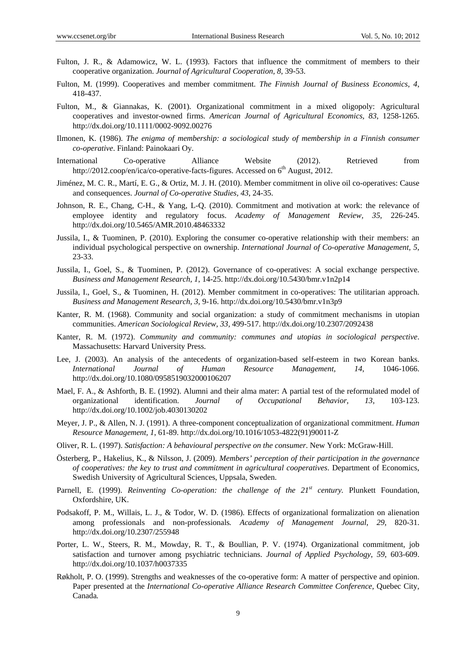- Fulton, J. R., & Adamowicz, W. L. (1993). Factors that influence the commitment of members to their cooperative organization. *Journal of Agricultural Cooperation, 8*, 39-53.
- Fulton, M. (1999). Cooperatives and member commitment. *The Finnish Journal of Business Economics, 4*, 418-437.
- Fulton, M., & Giannakas, K. (2001). Organizational commitment in a mixed oligopoly: Agricultural cooperatives and investor-owned firms. *American Journal of Agricultural Economics, 83*, 1258-1265. http://dx.doi.org/10.1111/0002-9092.00276
- Ilmonen, K. (1986). *The enigma of membership: a sociological study of membership in a Finnish consumer co-operative*. Finland: Painokaari Oy.
- International Co-operative Alliance Website (2012). Retrieved from http://2012.coop/en/ica/co-operative-facts-figures. Accessed on 6<sup>th</sup> August, 2012.
- Jiménez, M. C. R., Martí, E. G., & Ortiz, M. J. H. (2010). Member commitment in olive oil co-operatives: Cause and consequences. *Journal of Co-operative Studies, 43*, 24-35.
- Johnson, R. E., Chang, C-H., & Yang, L-Q. (2010). Commitment and motivation at work: the relevance of employee identity and regulatory focus. *Academy of Management Review, 35*, 226-245. http://dx.doi.org/10.5465/AMR.2010.48463332
- Jussila, I., & Tuominen, P. (2010). Exploring the consumer co-operative relationship with their members: an individual psychological perspective on ownership. *International Journal of Co-operative Management, 5*, 23-33.
- Jussila, I., Goel, S., & Tuominen, P. (2012). Governance of co-operatives: A social exchange perspective. *Business and Management Research, 1*, 14-25. http://dx.doi.org/10.5430/bmr.v1n2p14
- Jussila, I., Goel, S., & Tuominen, H. (2012). Member commitment in co-operatives: The utilitarian approach. *Business and Management Research*, *3*, 9-16. http://dx.doi.org/10.5430/bmr.v1n3p9
- Kanter, R. M. (1968). Community and social organization: a study of commitment mechanisms in utopian communities. *American Sociological Review, 33,* 499-517. http://dx.doi.org/10.2307/2092438
- Kanter, R. M. (1972). *Community and community: communes and utopias in sociological perspective*. Massachusetts: Harvard University Press.
- Lee, J. (2003). An analysis of the antecedents of organization-based self-esteem in two Korean banks. *International Journal of Human Resource Management, 14*, 1046-1066. http://dx.doi.org/10.1080/0958519032000106207
- Mael, F. A., & Ashforth, B. E. (1992). Alumni and their alma mater: A partial test of the reformulated model of organizational identification. *Journal of Occupational Behavior, 13*, 103-123. http://dx.doi.org/10.1002/job.4030130202
- Meyer, J. P., & Allen, N. J. (1991). A three-component conceptualization of organizational commitment. *Human Resource Management, 1*, 61-89. http://dx.doi.org/10.1016/1053-4822(91)90011-Z
- Oliver, R. L. (1997). *Satisfaction: A behavioural perspective on the consumer*. New York: McGraw-Hill.
- Österberg, P., Hakelius, K., & Nilsson, J. (2009). *Members' perception of their participation in the governance of cooperatives: the key to trust and commitment in agricultural cooperatives*. Department of Economics, Swedish University of Agricultural Sciences, Uppsala, Sweden.
- Parnell, E. (1999). *Reinventing Co-operation: the challenge of the 21<sup>st</sup> century.* Plunkett Foundation, Oxfordshire, UK.
- Podsakoff, P. M., Willais, L. J., & Todor, W. D. (1986). Effects of organizational formalization on alienation among professionals and non-professionals*. Academy of Management Journal*, *29*, 820-31. http://dx.doi.org/10.2307/255948
- Porter, L. W., Steers, R. M., Mowday, R. T., & Boullian, P. V. (1974). Organizational commitment, job satisfaction and turnover among psychiatric technicians. *Journal of Applied Psychology, 59*, 603-609. http://dx.doi.org/10.1037/h0037335
- Røkholt, P. O. (1999). Strengths and weaknesses of the co-operative form: A matter of perspective and opinion. Paper presented at the *International Co-operative Alliance Research Committee Conference*, Quebec City, Canada*.*